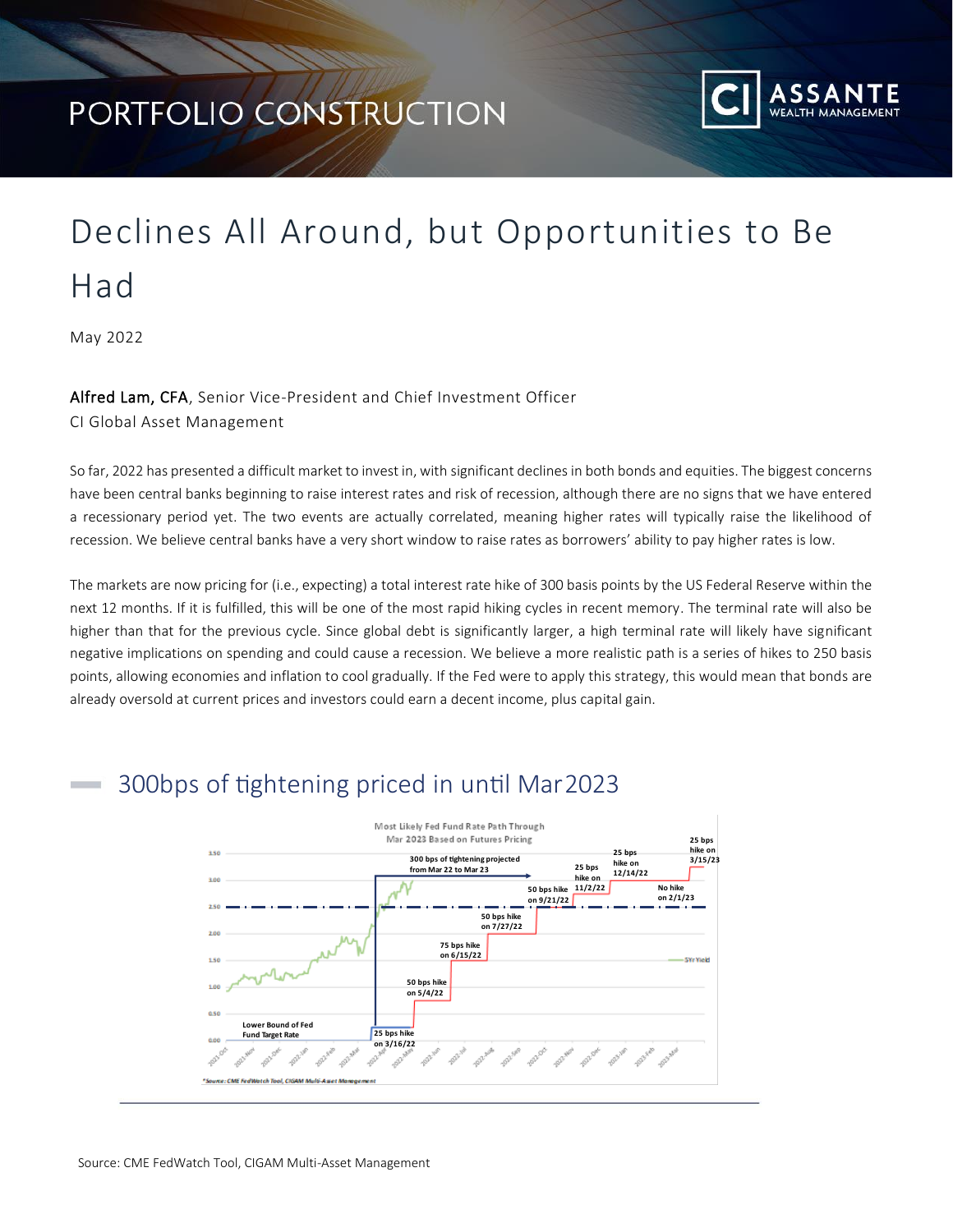## PORTFOLIO CONSTRUCTION



# Declines All Around, but Opportunities to Be Had

May 2022

#### Alfred Lam, CFA, Senior Vice-President and Chief Investment Officer

CI Global Asset Management

So far, 2022 has presented a difficult market to invest in, with significant declines in both bonds and equities. The biggest concerns have been central banks beginning to raise interest rates and risk of recession, although there are no signs that we have entered a recessionary period yet. The two events are actually correlated, meaning higher rates will typically raise the likelihood of recession. We believe central banks have a very short window to raise rates as borrowers' ability to pay higher rates is low.

The markets are now pricing for (i.e., expecting) a total interest rate hike of 300 basis points by the US Federal Reserve within the next 12 months. If it is fulfilled, this will be one of the most rapid hiking cycles in recent memory. The terminal rate will also be higher than that for the previous cycle. Since global debt is significantly larger, a high terminal rate will likely have significant negative implications on spending and could cause a recession. We believe a more realistic path is a series of hikes to 250 basis points, allowing economies and inflation to cool gradually. If the Fed were to apply this strategy, this would mean that bonds are already oversold at current prices and investors could earn a decent income, plus capital gain.

### 300bps of tightening priced in until Mar2023

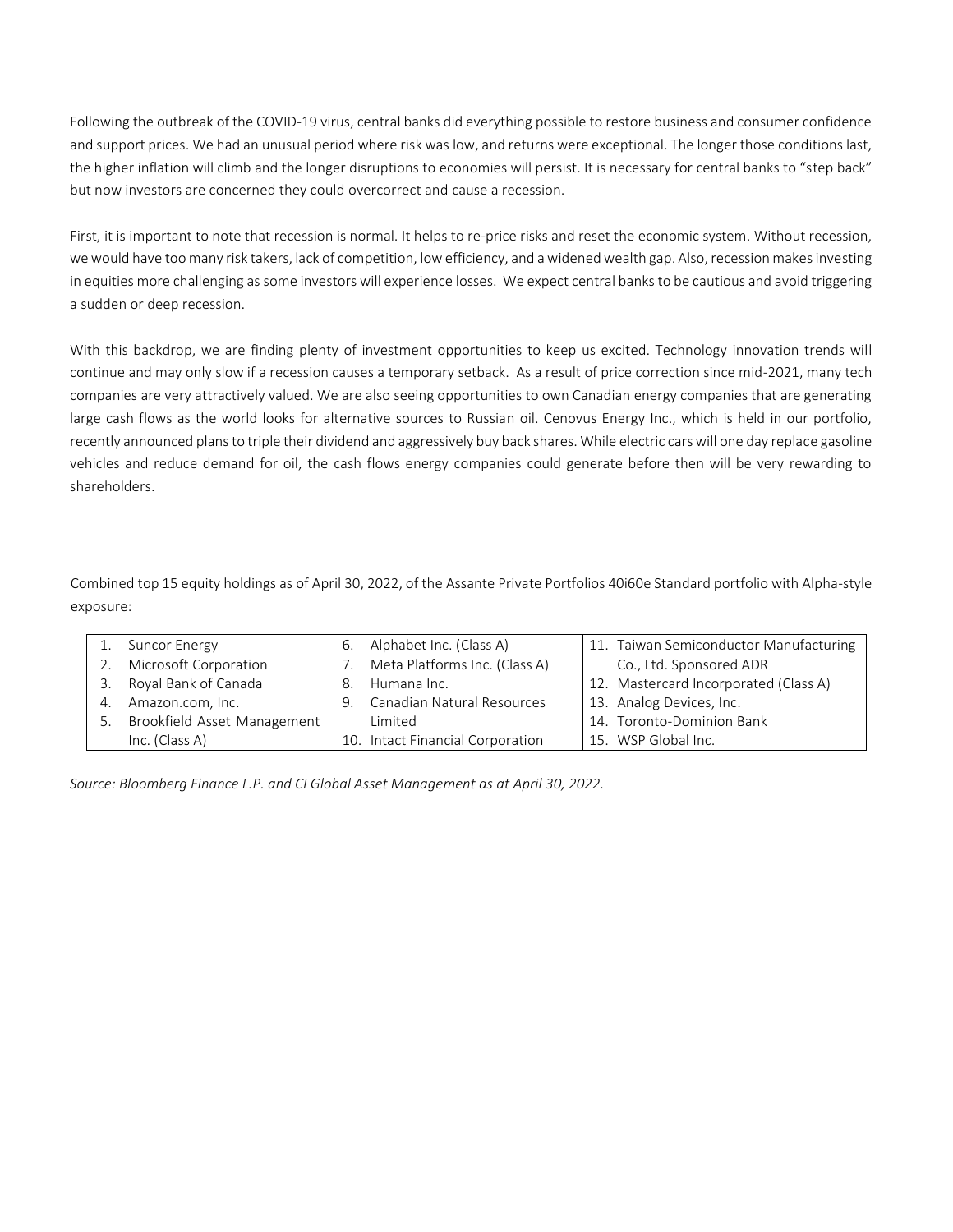Following the outbreak of the COVID-19 virus, central banks did everything possible to restore business and consumer confidence and support prices. We had an unusual period where risk was low, and returns were exceptional. The longer those conditions last, the higher inflation will climb and the longer disruptions to economies will persist. It is necessary for central banks to "step back" but now investors are concerned they could overcorrect and cause a recession.

First, it is important to note that recession is normal. It helps to re-price risks and reset the economic system. Without recession, we would have too many risk takers, lack of competition, low efficiency, and a widened wealth gap. Also, recession makes investing in equities more challenging as some investors will experience losses. We expect central banks to be cautious and avoid triggering a sudden or deep recession.

With this backdrop, we are finding plenty of investment opportunities to keep us excited. Technology innovation trends will continue and may only slow if a recession causes a temporary setback. As a result of price correction since mid-2021, many tech companies are very attractively valued. We are also seeing opportunities to own Canadian energy companies that are generating large cash flows as the world looks for alternative sources to Russian oil. Cenovus Energy Inc., which is held in our portfolio, recently announced plans to triple their dividend and aggressively buy back shares. While electric cars will one day replace gasoline vehicles and reduce demand for oil, the cash flows energy companies could generate before then will be very rewarding to shareholders.

Combined top 15 equity holdings as of April 30, 2022, of the Assante Private Portfolios 40i60e Standard portfolio with Alpha-style exposure:

|    | Suncor Energy                  |    | 6. Alphabet Inc. (Class A)       | 11. Taiwan Semiconductor Manufacturing |
|----|--------------------------------|----|----------------------------------|----------------------------------------|
|    | 2. Microsoft Corporation       |    | 7. Meta Platforms Inc. (Class A) | Co., Ltd. Sponsored ADR                |
|    | 3. Royal Bank of Canada        | 8. | Humana Inc.                      | 12. Mastercard Incorporated (Class A)  |
| 4. | Amazon.com, Inc.               | 9. | Canadian Natural Resources       | 13. Analog Devices, Inc.               |
|    | 5. Brookfield Asset Management |    | Limited                          | 14. Toronto-Dominion Bank              |
|    | Inc. (Class A)                 |    | 10. Intact Financial Corporation | 15. WSP Global Inc.                    |

*Source: Bloomberg Finance L.P. and CI Global Asset Management as at April 30, 2022.*